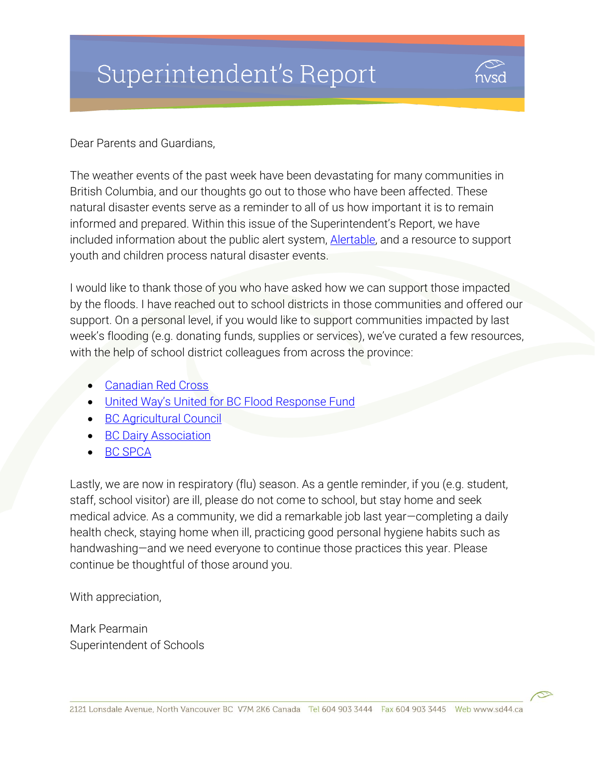# Superintendent's Report



Dear Parents and Guardians,

The weather events of the past week have been devastating for many communities in British Columbia, and our thoughts go out to those who have been affected. These natural disaster events serve as a reminder to all of us how important it is to remain informed and prepared. Within this issue of the Superintendent's Report, we have included information about the public alert system, **Alertable**, and a resource to support youth and children process natural disaster events.

I would like to thank those of you who have asked how we can support those impacted by the floods. I have reached out to school districts in those communities and offered our support. On a personal level, if you would like to support communities impacted by last week's flooding (e.g. donating funds, supplies or services), we've curated a few resources, with the help of school district colleagues from across the province:

- [Canadian Red Cross](https://donate.redcross.ca/page/94172/donate/1?locale=en-CA)
- [United Way's United for BC Flood Response Fund](https://donate.uwbc.ca/flood/?utm_source=sem&utm_medium=cpc&utm_campaign=uwbcflood21&gclid=EAIaIQobChMIuvXkwL-x9AIVnSCtBh3cowqFEAAYASAAEgJFMPD_BwE)
- [BC Agricultural Council](https://bcac.ca/)
- [BC Dairy Association](https://bcdairy.ca/press_releases/bc-dairy-farmers-coming-together-to-evacuate-and-house-cattle/)
- [BC SPCA](https://spca.bc.ca/news/bc-spca-responds-to-pet-guardians-impacted-by-b-c-flooding/)

Lastly, we are now in respiratory (flu) season. As a gentle reminder, if you (e.g. student, staff, school visitor) are ill, please do not come to school, but stay home and seek medical advice. As a community, we did a remarkable job last year—completing a daily health check, staying home when ill, practicing good personal hygiene habits such as handwashing—and we need everyone to continue those practices this year. Please continue be thoughtful of those around you.

With appreciation,

Mark Pearmain Superintendent of Schools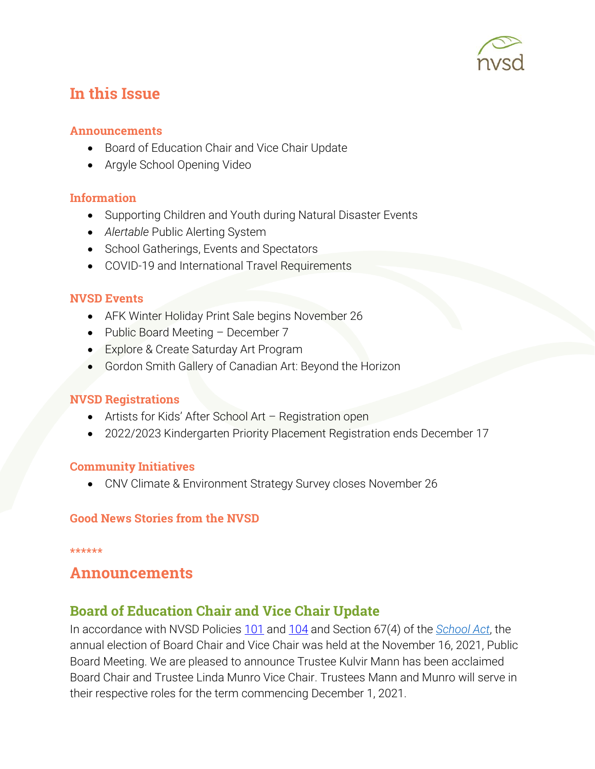

# In this Issue

#### Announcements

- Board of Education Chair and Vice Chair Update
- Argyle School Opening Video

#### Information

- Supporting Children and Youth during Natural Disaster Events
- *Alertable* Public Alerting System
- School Gatherings, Events and Spectators
- COVID-19 and International Travel Requirements

#### NVSD Events

- AFK Winter Holiday Print Sale begins November 26
- Public Board Meeting December 7
- **Explore & Create Saturday Art Program**
- Gordon Smith Gallery of Canadian Art: Beyond the Horizon

#### NVSD Registrations

- Artists for Kids' After School Art Registration open
- 2022/2023 Kindergarten Priority Placement Registration ends December 17

#### Community Initiatives

CNV Climate & Environment Strategy Survey closes November 26

#### Good News Stories from the NVSD

#### \*\*\*\*\*\*

### Announcements

### Board of Education Chair and Vice Chair Update

In accordance with NVSD Policies [101](https://www.sd44.ca/Board/PoliciesProcedures/Series100/Policy101/Pages/default.aspx#/=) and [104](https://www.sd44.ca/Board/PoliciesProcedures/Series100/Policy104/Pages/default.aspx#/=) and Section 67(4) of the *[School Act](https://www.bclaws.gov.bc.ca/civix/document/id/complete/statreg/96412_06)*, the annual election of Board Chair and Vice Chair was held at the November 16, 2021, Public Board Meeting. We are pleased to announce Trustee Kulvir Mann has been acclaimed Board Chair and Trustee Linda Munro Vice Chair. Trustees Mann and Munro will serve in their respective roles for the term commencing December 1, 2021.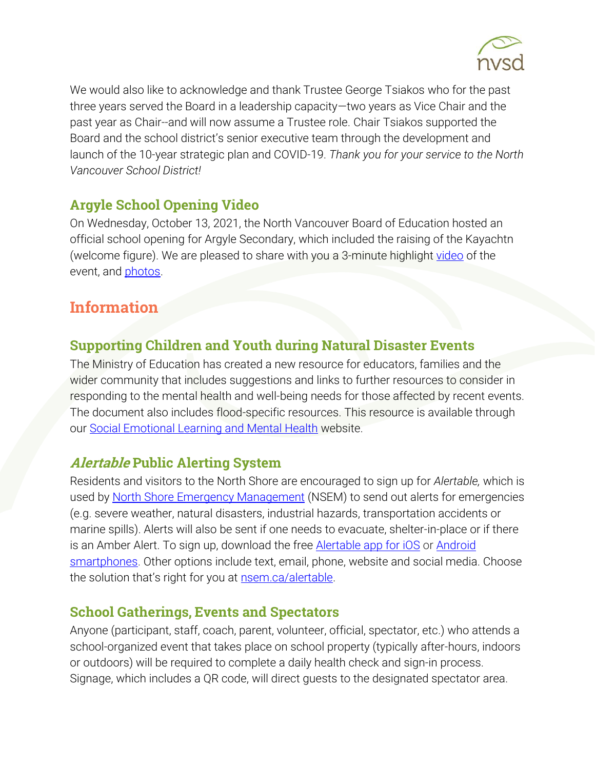

We would also like to acknowledge and thank Trustee George Tsiakos who for the past three years served the Board in a leadership capacity—two years as Vice Chair and the past year as Chair--and will now assume a Trustee role. Chair Tsiakos supported the Board and the school district's senior executive team through the development and launch of the 10-year strategic plan and COVID-19. *Thank you for your service to the North Vancouver School District!*

## Argyle School Opening Video

On Wednesday, October 13, 2021, the North Vancouver Board of Education hosted an official school opening for Argyle Secondary, which included the raising of the Kayachtn (welcome figure). We are pleased to share with you a 3-minute highlight [video](https://vimeo.com/647907920) of the event, and **photos**.

# Information

## Supporting Children and Youth during Natural Disaster Events

The Ministry of Education has created a new resource for educators, families and the wider community that includes suggestions and links to further resources to consider in responding to the mental health and well-being needs for those affected by recent events. The document also includes flood-specific resources. This resource is available through our [Social Emotional Learning and Mental Health](https://www.sd44.ca/sites/SEL/Parents/Pages/default.aspx#/=) website.

### Alertable Public Alerting System

Residents and visitors to the North Shore are encouraged to sign up for *Alertable,* which is used by [North Shore Emergency Management](https://nsem.ca/) (NSEM) to send out alerts for emergencies (e.g. severe weather, natural disasters, industrial hazards, transportation accidents or marine spills). Alerts will also be sent if one needs to evacuate, shelter-in-place or if there is an Amber Alert. To sign up, download the free **Alertable app for iOS** or Android [smartphones.](https://play.google.com/store/apps/details?id=com.artermobilize.alertable&hl=en_CA) Other options include text, email, phone, website and social media. Choose the solution that's right for you at **nsem.ca/alertable**.

### School Gatherings, Events and Spectators

Anyone (participant, staff, coach, parent, volunteer, official, spectator, etc.) who attends a school-organized event that takes place on school property (typically after-hours, indoors or outdoors) will be required to complete a daily health check and sign-in process. Signage, which includes a QR code, will direct guests to the designated spectator area.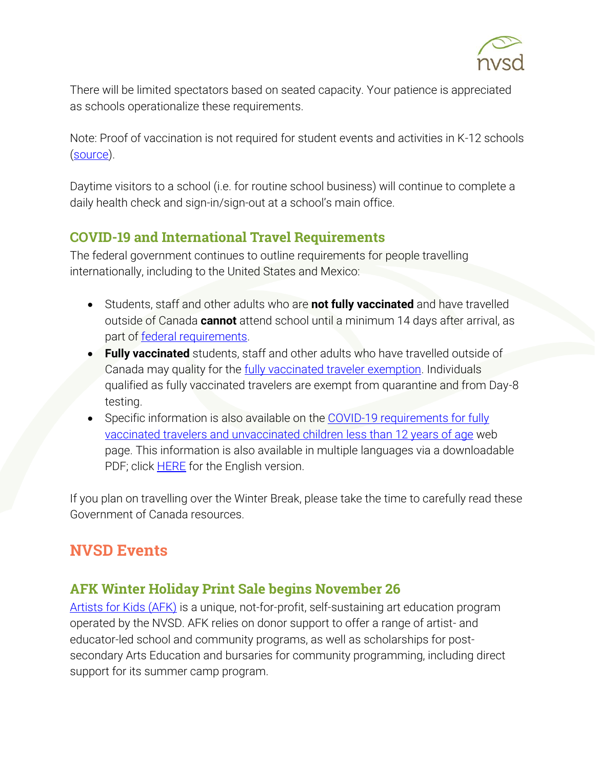

There will be limited spectators based on seated capacity. Your patience is appreciated as schools operationalize these requirements.

Note: Proof of vaccination is not required for student events and activities in K-12 schools [\(source\)](https://www2.gov.bc.ca/assets/gov/health/about-bc-s-health-care-system/office-of-the-provincial-health-officer/covid-19/covid-19-pho-order-gatherings-events.pdf).

Daytime visitors to a school (i.e. for routine school business) will continue to complete a daily health check and sign-in/sign-out at a school's main office.

## COVID-19 and International Travel Requirements

The federal government continues to outline requirements for people travelling internationally, including to the United States and Mexico:

- Students, staff and other adults who are **not fully vaccinated** and have travelled outside of Canada **cannot** attend school until a minimum 14 days after arrival, as part of [federal requirements.](https://travel.gc.ca/travel-covid/travel-restrictions/exemptions)
- **Fully vaccinated** students, staff and other adults who have travelled outside of Canada may quality for the [fully vaccinated traveler exemption.](https://travel.gc.ca/travel-covid/travel-restrictions/covid-vaccinated-travellers-entering-canada#vaccinated) Individuals qualified as fully vaccinated travelers are exempt from quarantine and from Day-8 testing.
- Specific information is also available on the [COVID-19 requirements for fully](https://www.canada.ca/en/public-health/services/publications/diseases-conditions/fully-vaccinated-travellers-without-covid-19-symptoms-returning-canada.html)  [vaccinated travelers and unvaccinated children](https://www.canada.ca/en/public-health/services/publications/diseases-conditions/fully-vaccinated-travellers-without-covid-19-symptoms-returning-canada.html) less than 12 years of age web page. This information is also available in multiple languages via a downloadable PDF; click **HERE** for the English version.

If you plan on travelling over the Winter Break, please take the time to carefully read these Government of Canada resources.

# NVSD Events

## AFK Winter Holiday Print Sale begins November 26

[Artists for Kids \(AFK\)](https://www.sd44.ca/school/artistsforkids/Pages/default.aspx#/=) is a unique, not-for-profit, self-sustaining art education program operated by the NVSD. AFK relies on donor support to offer a range of artist- and educator-led school and community programs, as well as scholarships for postsecondary Arts Education and bursaries for community programming, including direct support for its summer camp program.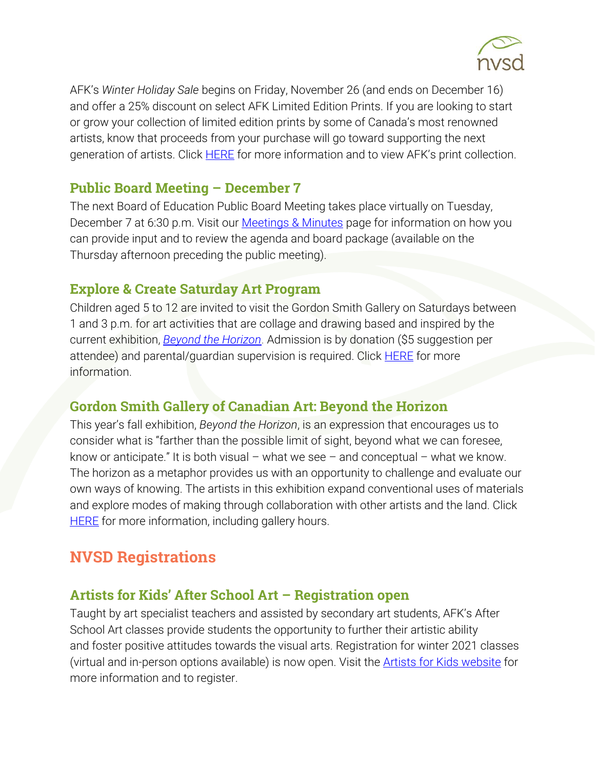

AFK's *Winter Holiday Sale* begins on Friday, November 26 (and ends on December 16) and offer a 25% discount on select AFK Limited Edition Prints. If you are looking to start or grow your collection of limited edition prints by some of Canada's most renowned artists, know that proceeds from your purchase will go toward supporting the next generation of artists. Click **HERE** for more information and to view AFK's print collection.

### Public Board Meeting – December 7

The next Board of Education Public Board Meeting takes place virtually on Tuesday, December 7 at 6:30 p.m. Visit our **Meetings & Minutes** page for information on how you can provide input and to review the agenda and board package (available on the Thursday afternoon preceding the public meeting).

### Explore & Create Saturday Art Program

Children aged 5 to 12 are invited to visit the Gordon Smith Gallery on Saturdays between 1 and 3 p.m. for art activities that are collage and drawing based and inspired by the current exhibition, *[Beyond the Horizon](https://www.sd44.ca/school/artistsforkids/Visit/Exhibitions/Pages/default.aspx#/=)*. Admission is by donation (\$5 suggestion per attendee) and parental/guardian supervision is required. Click **HERE** for more information.

## Gordon Smith Gallery of Canadian Art: Beyond the Horizon

This year's fall exhibition, *Beyond the Horizon*, is an expression that encourages us to consider what is "farther than the possible limit of sight, beyond what we can foresee, know or anticipate." It is both visual – what we see – and conceptual – what we know. The horizon as a metaphor provides us with an opportunity to challenge and evaluate our own ways of knowing. The artists in this exhibition expand conventional uses of materials and explore modes of making through collaboration with other artists and the land. Click **[HERE](https://www.sd44.ca/school/artistsforkids/Visit/Exhibitions/Pages/default.aspx#/=)** for more information, including gallery hours.

# NVSD Registrations

### Artists for Kids' After School Art – Registration open

Taught by art specialist teachers and assisted by secondary art students, AFK's After School Art classes provide students the opportunity to further their artistic ability and foster positive attitudes towards the visual arts. Registration for winter 2021 classes (virtual and in-person options available) is now open. Visit the [Artists for Kids website](https://www.sd44.ca/school/artistsforkids/learn/afterschoolart/Pages/default.aspx#/=) for more information and to register.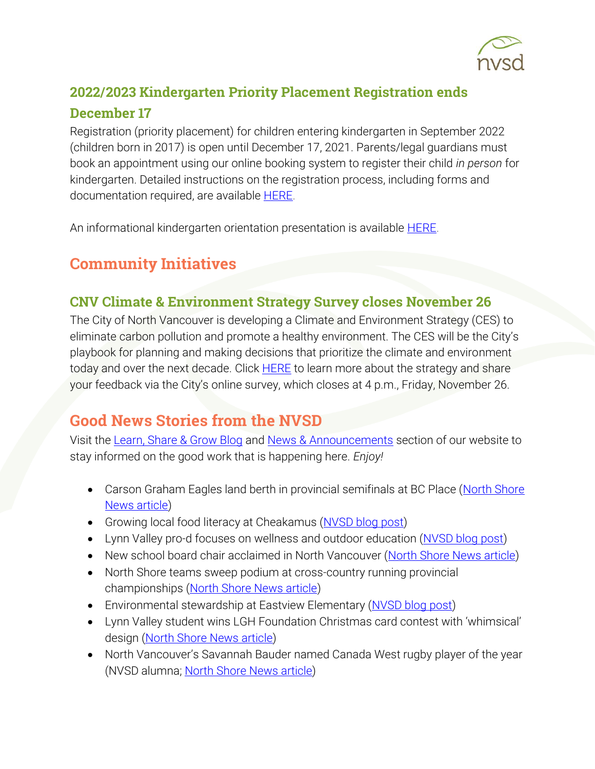

## 2022/2023 Kindergarten Priority Placement Registration ends December 17

Registration (priority placement) for children entering kindergarten in September 2022 (children born in 2017) is open until December 17, 2021. Parents/legal guardians must book an appointment using our online booking system to register their child *in person* for kindergarten. Detailed instructions on the registration process, including forms and documentation required, are available **HERE**.

An informational kindergarten orientation presentation is available [HERE.](https://www.sd44.ca/ProgramsServices/earlylearning/kindergarten/Pages/default.aspx#/=)

# Community Initiatives

## CNV Climate & Environment Strategy Survey closes November 26

The City of North Vancouver is developing a Climate and Environment Strategy (CES) to eliminate carbon pollution and promote a healthy environment. The CES will be the City's playbook for planning and making decisions that prioritize the climate and environment today and over the next decade. Click [HERE](https://letstalk.cnv.org/environment) to learn more about the strategy and share your feedback via the City's online survey, which closes at 4 p.m., Friday, November 26.

# Good News Stories from the NVSD

Visit the [Learn, Share & Grow Blog](https://www.sd44.ca/District/LearnShareGrow/default.aspx#/) and [News & Announcements](https://www.sd44.ca/Pages/newsarchive.aspx?ListID=d00680b1-9ba1-4668-9328-d82dd27dacd4) section of our website to stay informed on the good work that is happening here. *Enjoy!*

- Carson Graham Eagles land berth in provincial semifinals at BC Place (North Shore [News article\)](https://www.sd44.ca/Pages/newsitem.aspx?ItemID=1038&ListID=d00680b1-9ba1-4668-9328-d82dd27dacd4&TemplateID=Announcement_Item#/=)
- Growing local food literacy at Cheakamus [\(NVSD blog post\)](https://www.sd44.ca/District/LearnShareGrow/default.aspx#/view/660)
- Lynn Valley pro-d focuses on wellness and outdoor education [\(NVSD blog post\)](https://www.sd44.ca/District/LearnShareGrow/default.aspx#/view/661)
- New school board chair acclaimed in North Vancouver [\(North Shore News article\)](https://www.sd44.ca/Pages/newsitem.aspx?ItemID=1037&ListID=d00680b1-9ba1-4668-9328-d82dd27dacd4&TemplateID=Announcement_Item#/=)
- North Shore teams sweep podium at cross-country running provincial championships [\(North Shore News article\)](https://www.sd44.ca/Pages/newsitem.aspx?ItemID=1035&ListID=d00680b1-9ba1-4668-9328-d82dd27dacd4&TemplateID=Announcement_Item#/=)
- Environmental stewardship at Eastview Elementary [\(NVSD blog post\)](https://www.sd44.ca/District/LearnShareGrow/default.aspx#/view/659)
- Lynn Valley student wins LGH Foundation Christmas card contest with 'whimsical' design [\(North Shore News article\)](https://www.sd44.ca/pages/newsitem.aspx?ItemID=1032&ListID=d00680b1-9ba1-4668-9328-d82dd27dacd4&TemplateID=Announcement_Item#/=)
- North Vancouver's Savannah Bauder named Canada West rugby player of the year (NVSD alumna; [North Shore News article\)](https://www.sd44.ca/pages/newsitem.aspx?ItemID=1031&ListID=d00680b1-9ba1-4668-9328-d82dd27dacd4&TemplateID=Announcement_Item#/=)